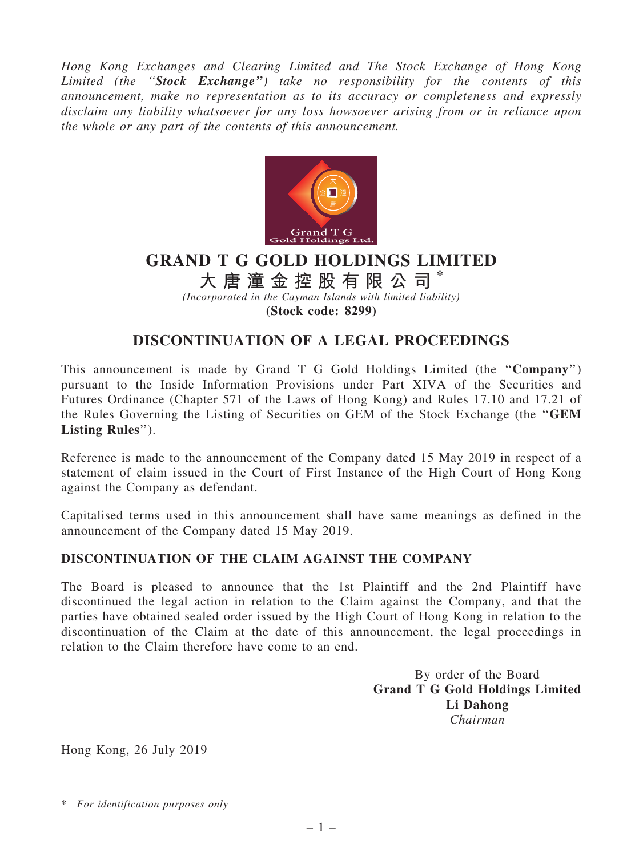Hong Kong Exchanges and Clearing Limited and The Stock Exchange of Hong Kong Limited (the "Stock Exchange") take no responsibility for the contents of this announcement, make no representation as to its accuracy or completeness and expressly disclaim any liability whatsoever for any loss howsoever arising from or in reliance upon the whole or any part of the contents of this announcement.



## GRAND T G GOLD HOLDINGS LIMITED

大 唐 潼 金 控 股 有 限 公 司

(Incorporated in the Cayman Islands with limited liability)

(Stock code: 8299)

## DISCONTINUATION OF A LEGAL PROCEEDINGS

This announcement is made by Grand T G Gold Holdings Limited (the ''Company'') pursuant to the Inside Information Provisions under Part XIVA of the Securities and Futures Ordinance (Chapter 571 of the Laws of Hong Kong) and Rules 17.10 and 17.21 of the Rules Governing the Listing of Securities on GEM of the Stock Exchange (the ''GEM Listing Rules'').

Reference is made to the announcement of the Company dated 15 May 2019 in respect of a statement of claim issued in the Court of First Instance of the High Court of Hong Kong against the Company as defendant.

Capitalised terms used in this announcement shall have same meanings as defined in the announcement of the Company dated 15 May 2019.

## DISCONTINUATION OF THE CLAIM AGAINST THE COMPANY

The Board is pleased to announce that the 1st Plaintiff and the 2nd Plaintiff have discontinued the legal action in relation to the Claim against the Company, and that the parties have obtained sealed order issued by the High Court of Hong Kong in relation to the discontinuation of the Claim at the date of this announcement, the legal proceedings in relation to the Claim therefore have come to an end.

> By order of the Board Grand T G Gold Holdings Limited Li Dahong Chairman

Hong Kong, 26 July 2019

\* For identification purposes only